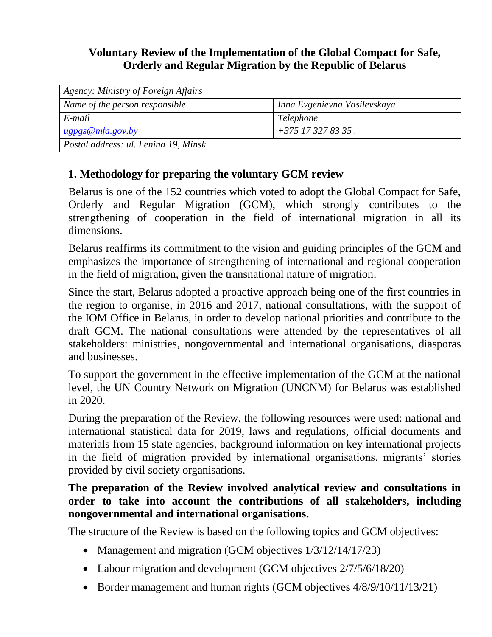## **Voluntary Review of the Implementation of the Global Compact for Safe, Orderly and Regular Migration by the Republic of Belarus**

| Agency: Ministry of Foreign Affairs  |                              |
|--------------------------------------|------------------------------|
| Name of the person responsible       | Inna Evgenievna Vasilevskaya |
| E-mail                               | Telephone                    |
| $\mu$ gpgs@mfa.gov.by                | $1 + 375$ 17 327 83 35       |
| Postal address: ul. Lenina 19, Minsk |                              |

## **1. Methodology for preparing the voluntary GCM review**

Belarus is one of the 152 countries which voted to adopt the Global Compact for Safe, Orderly and Regular Migration (GCM), which strongly contributes to the strengthening of cooperation in the field of international migration in all its dimensions.

Belarus reaffirms its commitment to the vision and guiding principles of the GCM and emphasizes the importance of strengthening of international and regional cooperation in the field of migration, given the transnational nature of migration.

Since the start, Belarus adopted a proactive approach being one of the first countries in the region to organise, in 2016 and 2017, national consultations, with the support of the IOM Office in Belarus, in order to develop national priorities and contribute to the draft GCM. The national consultations were attended by the representatives of all stakeholders: ministries, nongovernmental and international organisations, diasporas and businesses.

To support the government in the effective implementation of the GCM at the national level, the UN Country Network on Migration (UNCNM) for Belarus was established in 2020.

During the preparation of the Review, the following resources were used: national and international statistical data for 2019, laws and regulations, official documents and materials from 15 state agencies, background information on key international projects in the field of migration provided by international organisations, migrants' stories provided by civil society organisations.

#### **The preparation of the Review involved analytical review and consultations in order to take into account the contributions of all stakeholders, including nongovernmental and international organisations.**

The structure of the Review is based on the following topics and GCM objectives:

- Management and migration (GCM objectives  $1/3/12/14/17/23$ )
- Labour migration and development (GCM objectives  $2/7/5/6/18/20$ )
- Border management and human rights (GCM objectives  $4/8/9/10/11/13/21$ )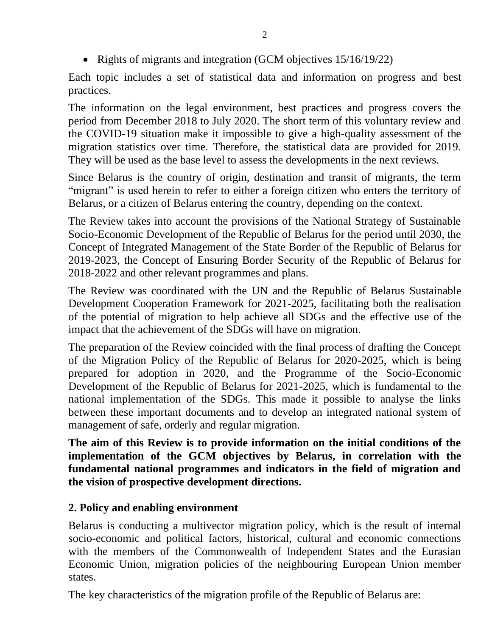• Rights of migrants and integration (GCM objectives 15/16/19/22)

Each topic includes a set of statistical data and information on progress and best practices.

The information on the legal environment, best practices and progress covers the period from December 2018 to July 2020. The short term of this voluntary review and the COVID-19 situation make it impossible to give a high-quality assessment of the migration statistics over time. Therefore, the statistical data are provided for 2019. They will be used as the base level to assess the developments in the next reviews.

Since Belarus is the country of origin, destination and transit of migrants, the term "migrant" is used herein to refer to either a foreign citizen who enters the territory of Belarus, or a citizen of Belarus entering the country, depending on the context.

The Review takes into account the provisions of the National Strategy of Sustainable Socio-Economic Development of the Republic of Belarus for the period until 2030, the Concept of Integrated Management of the State Border of the Republic of Belarus for 2019-2023, the Concept of Ensuring Border Security of the Republic of Belarus for 2018-2022 and other relevant programmes and plans.

The Review was coordinated with the UN and the Republic of Belarus Sustainable Development Cooperation Framework for 2021-2025, facilitating both the realisation of the potential of migration to help achieve all SDGs and the effective use of the impact that the achievement of the SDGs will have on migration.

The preparation of the Review coincided with the final process of drafting the Concept of the Migration Policy of the Republic of Belarus for 2020-2025, which is being prepared for adoption in 2020, and the Programme of the Socio-Economic Development of the Republic of Belarus for 2021-2025, which is fundamental to the national implementation of the SDGs. This made it possible to analyse the links between these important documents and to develop an integrated national system of management of safe, orderly and regular migration.

**The aim of this Review is to provide information on the initial conditions of the implementation of the GCM objectives by Belarus, in correlation with the fundamental national programmes and indicators in the field of migration and the vision of prospective development directions.**

# **2. Policy and enabling environment**

Belarus is conducting a multivector migration policy, which is the result of internal socio-economic and political factors, historical, cultural and economic connections with the members of the Commonwealth of Independent States and the Eurasian Economic Union, migration policies of the neighbouring European Union member states.

The key characteristics of the migration profile of the Republic of Belarus are: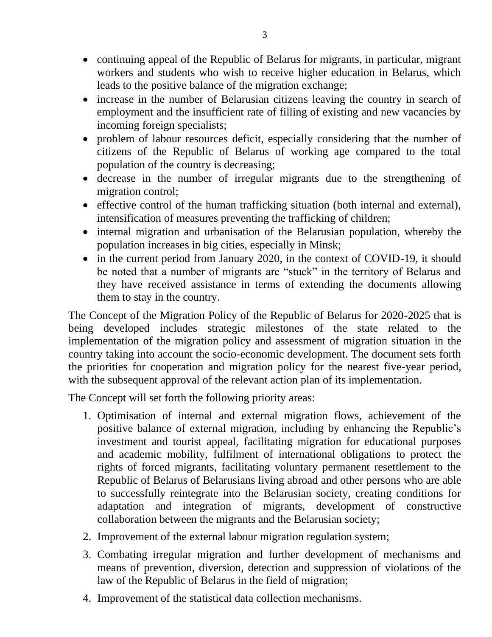- continuing appeal of the Republic of Belarus for migrants, in particular, migrant workers and students who wish to receive higher education in Belarus, which leads to the positive balance of the migration exchange;
- increase in the number of Belarusian citizens leaving the country in search of employment and the insufficient rate of filling of existing and new vacancies by incoming foreign specialists;
- problem of labour resources deficit, especially considering that the number of citizens of the Republic of Belarus of working age compared to the total population of the country is decreasing;
- decrease in the number of irregular migrants due to the strengthening of migration control;
- effective control of the human trafficking situation (both internal and external), intensification of measures preventing the trafficking of children;
- internal migration and urbanisation of the Belarusian population, whereby the population increases in big cities, especially in Minsk;
- in the current period from January 2020, in the context of COVID-19, it should be noted that a number of migrants are "stuck" in the territory of Belarus and they have received assistance in terms of extending the documents allowing them to stay in the country.

The Concept of the Migration Policy of the Republic of Belarus for 2020-2025 that is being developed includes strategic milestones of the state related to the implementation of the migration policy and assessment of migration situation in the country taking into account the socio-economic development. The document sets forth the priorities for cooperation and migration policy for the nearest five-year period, with the subsequent approval of the relevant action plan of its implementation.

The Concept will set forth the following priority areas:

- 1. Optimisation of internal and external migration flows, achievement of the positive balance of external migration, including by enhancing the Republic's investment and tourist appeal, facilitating migration for educational purposes and academic mobility, fulfilment of international obligations to protect the rights of forced migrants, facilitating voluntary permanent resettlement to the Republic of Belarus of Belarusians living abroad and other persons who are able to successfully reintegrate into the Belarusian society, creating conditions for adaptation and integration of migrants, development of constructive collaboration between the migrants and the Belarusian society;
- 2. Improvement of the external labour migration regulation system;
- 3. Combating irregular migration and further development of mechanisms and means of prevention, diversion, detection and suppression of violations of the law of the Republic of Belarus in the field of migration;
- 4. Improvement of the statistical data collection mechanisms.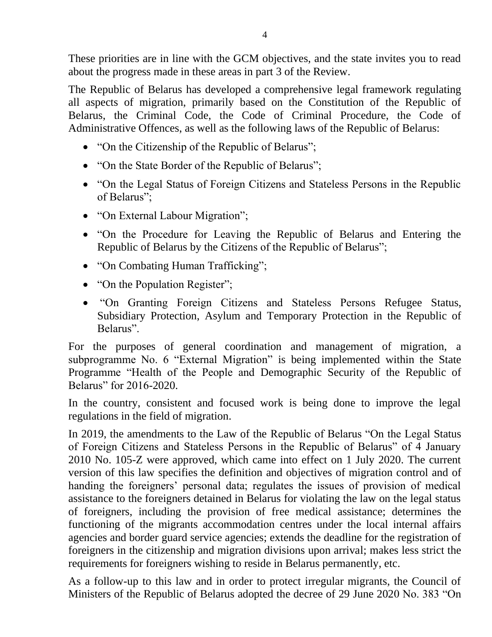These priorities are in line with the GCM objectives, and the state invites you to read about the progress made in these areas in part 3 of the Review.

The Republic of Belarus has developed a comprehensive legal framework regulating all aspects of migration, primarily based on the Constitution of the Republic of Belarus, the Criminal Code, the Code of Criminal Procedure, the Code of Administrative Offences, as well as the following laws of the Republic of Belarus:

- "On the Citizenship of the Republic of Belarus";
- "On the State Border of the Republic of Belarus";
- "On the Legal Status of Foreign Citizens and Stateless Persons in the Republic of Belarus";
- "On External Labour Migration";
- "On the Procedure for Leaving the Republic of Belarus and Entering the Republic of Belarus by the Citizens of the Republic of Belarus";
- "On Combating Human Trafficking";
- "On the Population Register";
- "On Granting Foreign Citizens and Stateless Persons Refugee Status, Subsidiary Protection, Asylum and Temporary Protection in the Republic of Belarus".

For the purposes of general coordination and management of migration, a subprogramme No. 6 "External Migration" is being implemented within the State Programme "Health of the People and Demographic Security of the Republic of Belarus" for 2016-2020.

In the country, consistent and focused work is being done to improve the legal regulations in the field of migration.

In 2019, the amendments to the Law of the Republic of Belarus "On the Legal Status of Foreign Citizens and Stateless Persons in the Republic of Belarus" of 4 January 2010 No. 105-Z were approved, which came into effect on 1 July 2020. The current version of this law specifies the definition and objectives of migration control and of handing the foreigners' personal data; regulates the issues of provision of medical assistance to the foreigners detained in Belarus for violating the law on the legal status of foreigners, including the provision of free medical assistance; determines the functioning of the migrants accommodation centres under the local internal affairs agencies and border guard service agencies; extends the deadline for the registration of foreigners in the citizenship and migration divisions upon arrival; makes less strict the requirements for foreigners wishing to reside in Belarus permanently, etc.

As a follow-up to this law and in order to protect irregular migrants, the Council of Ministers of the Republic of Belarus adopted the decree of 29 June 2020 No. 383 "On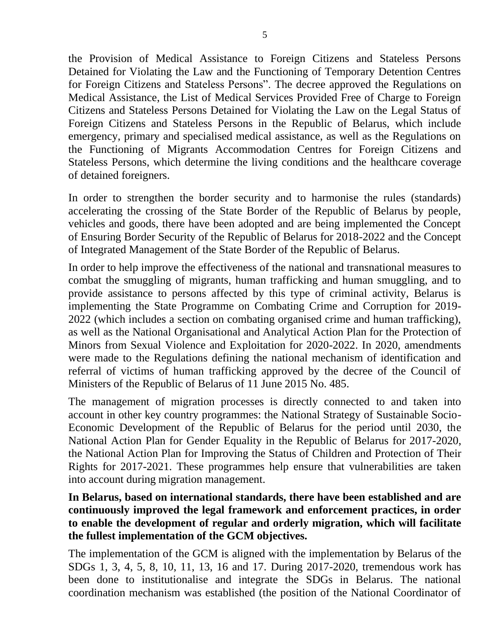the Provision of Medical Assistance to Foreign Citizens and Stateless Persons Detained for Violating the Law and the Functioning of Temporary Detention Centres for Foreign Citizens and Stateless Persons". The decree approved the Regulations on Medical Assistance, the List of Medical Services Provided Free of Charge to Foreign Citizens and Stateless Persons Detained for Violating the Law on the Legal Status of Foreign Citizens and Stateless Persons in the Republic of Belarus, which include emergency, primary and specialised medical assistance, as well as the Regulations on the Functioning of Migrants Accommodation Centres for Foreign Citizens and Stateless Persons, which determine the living conditions and the healthcare coverage of detained foreigners.

In order to strengthen the border security and to harmonise the rules (standards) accelerating the crossing of the State Border of the Republic of Belarus by people, vehicles and goods, there have been adopted and are being implemented the Concept of Ensuring Border Security of the Republic of Belarus for 2018-2022 and the Concept of Integrated Management of the State Border of the Republic of Belarus.

In order to help improve the effectiveness of the national and transnational measures to combat the smuggling of migrants, human trafficking and human smuggling, and to provide assistance to persons affected by this type of criminal activity, Belarus is implementing the State Programme on Combating Crime and Corruption for 2019- 2022 (which includes a section on combating organised crime and human trafficking), as well as the National Organisational and Analytical Action Plan for the Protection of Minors from Sexual Violence and Exploitation for 2020-2022. In 2020, amendments were made to the Regulations defining the national mechanism of identification and referral of victims of human trafficking approved by the decree of the Council of Ministers of the Republic of Belarus of 11 June 2015 No. 485.

The management of migration processes is directly connected to and taken into account in other key country programmes: the National Strategy of Sustainable Socio-Economic Development of the Republic of Belarus for the period until 2030, the National Action Plan for Gender Equality in the Republic of Belarus for 2017-2020, the National Action Plan for Improving the Status of Children and Protection of Their Rights for 2017-2021. These programmes help ensure that vulnerabilities are taken into account during migration management.

#### **In Belarus, based on international standards, there have been established and are continuously improved the legal framework and enforcement practices, in order to enable the development of regular and orderly migration, which will facilitate the fullest implementation of the GCM objectives.**

The implementation of the GCM is aligned with the implementation by Belarus of the SDGs 1, 3, 4, 5, 8, 10, 11, 13, 16 and 17. During 2017-2020, tremendous work has been done to institutionalise and integrate the SDGs in Belarus. The national coordination mechanism was established (the position of the National Coordinator of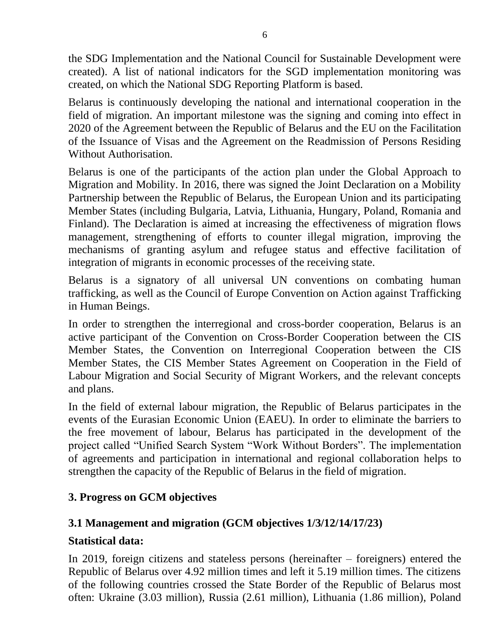the SDG Implementation and the National Council for Sustainable Development were created). A list of national indicators for the SGD implementation monitoring was created, on which the National SDG Reporting Platform is based.

Belarus is continuously developing the national and international cooperation in the field of migration. An important milestone was the signing and coming into effect in 2020 of the Agreement between the Republic of Belarus and the EU on the Facilitation of the Issuance of Visas and the Agreement on the Readmission of Persons Residing Without Authorisation.

Belarus is one of the participants of the action plan under the Global Approach to Migration and Mobility. In 2016, there was signed the Joint Declaration on a Mobility Partnership between the Republic of Belarus, the European Union and its participating Member States (including Bulgaria, Latvia, Lithuania, Hungary, Poland, Romania and Finland). The Declaration is aimed at increasing the effectiveness of migration flows management, strengthening of efforts to counter illegal migration, improving the mechanisms of granting asylum and refugee status and effective facilitation of integration of migrants in economic processes of the receiving state.

Belarus is a signatory of all universal UN conventions on combating human trafficking, as well as the Council of Europe Convention on Action against Trafficking in Human Beings.

In order to strengthen the interregional and cross-border cooperation, Belarus is an active participant of the Convention on Cross-Border Cooperation between the CIS Member States, the Convention on Interregional Cooperation between the CIS Member States, the CIS Member States Agreement on Cooperation in the Field of Labour Migration and Social Security of Migrant Workers, and the relevant concepts and plans.

In the field of external labour migration, the Republic of Belarus participates in the events of the Eurasian Economic Union (EAEU). In order to eliminate the barriers to the free movement of labour, Belarus has participated in the development of the project called "Unified Search System "Work Without Borders". The implementation of agreements and participation in international and regional collaboration helps to strengthen the capacity of the Republic of Belarus in the field of migration.

#### **3. Progress on GCM objectives**

# **3.1 Management and migration (GCM objectives 1/3/12/14/17/23)**

#### **Statistical data:**

In 2019, foreign citizens and stateless persons (hereinafter – foreigners) entered the Republic of Belarus over 4.92 million times and left it 5.19 million times. The citizens of the following countries crossed the State Border of the Republic of Belarus most often: Ukraine (3.03 million), Russia (2.61 million), Lithuania (1.86 million), Poland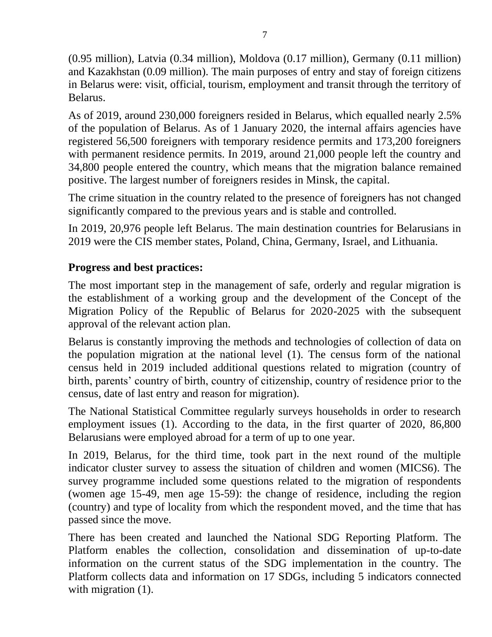(0.95 million), Latvia (0.34 million), Moldova (0.17 million), Germany (0.11 million) and Kazakhstan (0.09 million). The main purposes of entry and stay of foreign citizens in Belarus were: visit, official, tourism, employment and transit through the territory of Belarus.

As of 2019, around 230,000 foreigners resided in Belarus, which equalled nearly 2.5% of the population of Belarus. As of 1 January 2020, the internal affairs agencies have registered 56,500 foreigners with temporary residence permits and 173,200 foreigners with permanent residence permits. In 2019, around 21,000 people left the country and 34,800 people entered the country, which means that the migration balance remained positive. The largest number of foreigners resides in Minsk, the capital.

The crime situation in the country related to the presence of foreigners has not changed significantly compared to the previous years and is stable and controlled.

In 2019, 20,976 people left Belarus. The main destination countries for Belarusians in 2019 were the CIS member states, Poland, China, Germany, Israel, and Lithuania.

## **Progress and best practices:**

The most important step in the management of safe, orderly and regular migration is the establishment of a working group and the development of the Concept of the Migration Policy of the Republic of Belarus for 2020-2025 with the subsequent approval of the relevant action plan.

Belarus is constantly improving the methods and technologies of collection of data on the population migration at the national level (1). The census form of the national census held in 2019 included additional questions related to migration (country of birth, parents' country of birth, country of citizenship, country of residence prior to the census, date of last entry and reason for migration).

The National Statistical Committee regularly surveys households in order to research employment issues (1). According to the data, in the first quarter of 2020, 86,800 Belarusians were employed abroad for a term of up to one year.

In 2019, Belarus, for the third time, took part in the next round of the multiple indicator cluster survey to assess the situation of children and women (MICS6). The survey programme included some questions related to the migration of respondents (women age 15-49, men age 15-59): the change of residence, including the region (country) and type of locality from which the respondent moved, and the time that has passed since the move.

There has been created and launched the National SDG Reporting Platform. The Platform enables the collection, consolidation and dissemination of up-to-date information on the current status of the SDG implementation in the country. The Platform collects data and information on 17 SDGs, including 5 indicators connected with migration (1).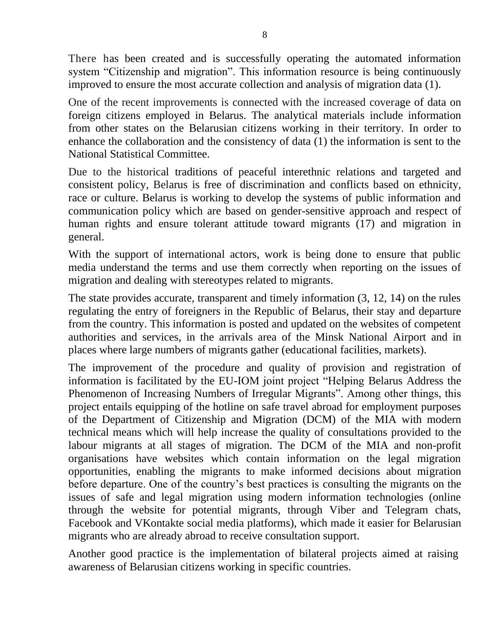There has been created and is successfully operating the automated information system "Citizenship and migration". This information resource is being continuously improved to ensure the most accurate collection and analysis of migration data (1).

One of the recent improvements is connected with the increased coverage of data on foreign citizens employed in Belarus. The analytical materials include information from other states on the Belarusian citizens working in their territory. In order to enhance the collaboration and the consistency of data (1) the information is sent to the National Statistical Committee.

Due to the historical traditions of peaceful interethnic relations and targeted and consistent policy, Belarus is free of discrimination and conflicts based on ethnicity, race or culture. Belarus is working to develop the systems of public information and communication policy which are based on gender-sensitive approach and respect of human rights and ensure tolerant attitude toward migrants (17) and migration in general.

With the support of international actors, work is being done to ensure that public media understand the terms and use them correctly when reporting on the issues of migration and dealing with stereotypes related to migrants.

The state provides accurate, transparent and timely information (3, 12, 14) on the rules regulating the entry of foreigners in the Republic of Belarus, their stay and departure from the country. This information is posted and updated on the websites of competent authorities and services, in the arrivals area of the Minsk National Airport and in places where large numbers of migrants gather (educational facilities, markets).

The improvement of the procedure and quality of provision and registration of information is facilitated by the EU-IOM joint project "Helping Belarus Address the Phenomenon of Increasing Numbers of Irregular Migrants". Among other things, this project entails equipping of the hotline on safe travel abroad for employment purposes of the Department of Citizenship and Migration (DCM) of the MIA with modern technical means which will help increase the quality of consultations provided to the labour migrants at all stages of migration. The DCM of the MIA and non-profit organisations have websites which contain information on the legal migration opportunities, enabling the migrants to make informed decisions about migration before departure. One of the country's best practices is consulting the migrants on the issues of safe and legal migration using modern information technologies (online through the website for potential migrants, through Viber and Telegram chats, Facebook and VKontakte social media platforms), which made it easier for Belarusian migrants who are already abroad to receive consultation support.

Another good practice is the implementation of bilateral projects aimed at raising awareness of Belarusian citizens working in specific countries.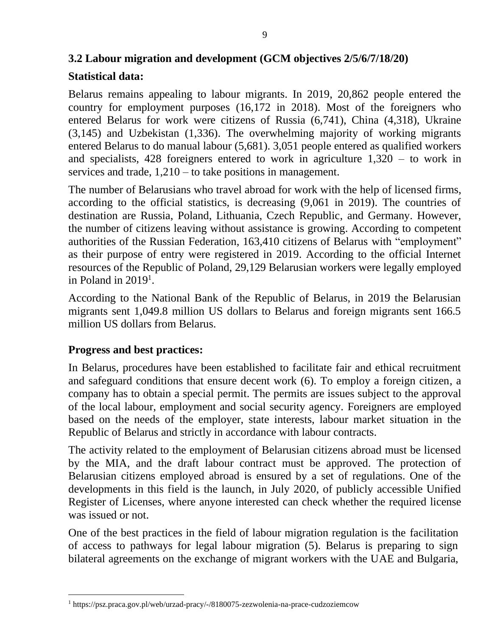# **3.2 Labour migration and development (GCM objectives 2/5/6/7/18/20)**

## **Statistical data:**

Belarus remains appealing to labour migrants. In 2019, 20,862 people entered the country for employment purposes (16,172 in 2018). Most of the foreigners who entered Belarus for work were citizens of Russia (6,741), China (4,318), Ukraine (3,145) and Uzbekistan (1,336). The overwhelming majority of working migrants entered Belarus to do manual labour (5,681). 3,051 people entered as qualified workers and specialists, 428 foreigners entered to work in agriculture 1,320 – to work in services and trade, 1,210 – to take positions in management.

The number of Belarusians who travel abroad for work with the help of licensed firms, according to the official statistics, is decreasing (9,061 in 2019). The countries of destination are Russia, Poland, Lithuania, Czech Republic, and Germany. However, the number of citizens leaving without assistance is growing. According to competent authorities of the Russian Federation, 163,410 citizens of Belarus with "employment" as their purpose of entry were registered in 2019. According to the official Internet resources of the Republic of Poland, 29,129 Belarusian workers were legally employed in Poland in 2019<sup>1</sup>.

According to the National Bank of the Republic of Belarus, in 2019 the Belarusian migrants sent 1,049.8 million US dollars to Belarus and foreign migrants sent 166.5 million US dollars from Belarus.

#### **Progress and best practices:**

In Belarus, procedures have been established to facilitate fair and ethical recruitment and safeguard conditions that ensure decent work (6). To employ a foreign citizen, a company has to obtain a special permit. The permits are issues subject to the approval of the local labour, employment and social security agency. Foreigners are employed based on the needs of the employer, state interests, labour market situation in the Republic of Belarus and strictly in accordance with labour contracts.

The activity related to the employment of Belarusian citizens abroad must be licensed by the MIA, and the draft labour contract must be approved. The protection of Belarusian citizens employed abroad is ensured by a set of regulations. One of the developments in this field is the launch, in July 2020, of publicly accessible Unified Register of Licenses, where anyone interested can check whether the required license was issued or not.

One of the best practices in the field of labour migration regulation is the facilitation of access to pathways for legal labour migration (5). Belarus is preparing to sign bilateral agreements on the exchange of migrant workers with the UAE and Bulgaria,

<sup>1</sup> https://psz.praca.gov.pl/web/urzad-pracy/-/8180075-zezwolenia-na-prace-cudzoziemcow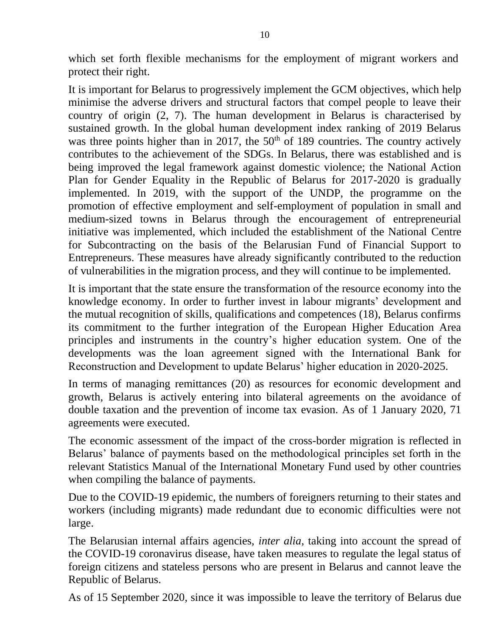which set forth flexible mechanisms for the employment of migrant workers and protect their right.

It is important for Belarus to progressively implement the GCM objectives, which help minimise the adverse drivers and structural factors that compel people to leave their country of origin (2, 7). The human development in Belarus is characterised by sustained growth. In the global human development index ranking of 2019 Belarus was three points higher than in 2017, the  $50<sup>th</sup>$  of 189 countries. The country actively contributes to the achievement of the SDGs. In Belarus, there was established and is being improved the legal framework against domestic violence; the National Action Plan for Gender Equality in the Republic of Belarus for 2017-2020 is gradually implemented. In 2019, with the support of the UNDP, the programme on the promotion of effective employment and self-employment of population in small and medium-sized towns in Belarus through the encouragement of entrepreneurial initiative was implemented, which included the establishment of the National Centre for Subcontracting on the basis of the Belarusian Fund of Financial Support to Entrepreneurs. These measures have already significantly contributed to the reduction of vulnerabilities in the migration process, and they will continue to be implemented.

It is important that the state ensure the transformation of the resource economy into the knowledge economy. In order to further invest in labour migrants' development and the mutual recognition of skills, qualifications and competences (18), Belarus confirms its commitment to the further integration of the European Higher Education Area principles and instruments in the country's higher education system. One of the developments was the loan agreement signed with the International Bank for Reconstruction and Development to update Belarus' higher education in 2020-2025.

In terms of managing remittances (20) as resources for economic development and growth, Belarus is actively entering into bilateral agreements on the avoidance of double taxation and the prevention of income tax evasion. As of 1 January 2020, 71 agreements were executed.

The economic assessment of the impact of the cross-border migration is reflected in Belarus' balance of payments based on the methodological principles set forth in the relevant Statistics Manual of the International Monetary Fund used by other countries when compiling the balance of payments.

Due to the COVID-19 epidemic, the numbers of foreigners returning to their states and workers (including migrants) made redundant due to economic difficulties were not large.

The Belarusian internal affairs agencies, *inter alia*, taking into account the spread of the COVID-19 coronavirus disease, have taken measures to regulate the legal status of foreign citizens and stateless persons who are present in Belarus and cannot leave the Republic of Belarus.

As of 15 September 2020, since it was impossible to leave the territory of Belarus due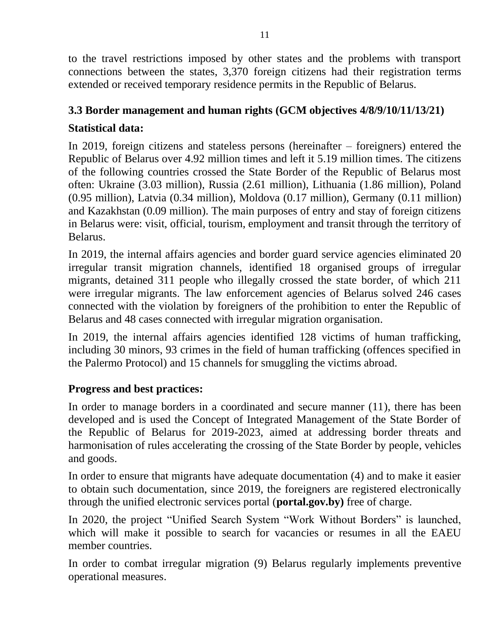to the travel restrictions imposed by other states and the problems with transport connections between the states, 3,370 foreign citizens had their registration terms extended or received temporary residence permits in the Republic of Belarus.

# **3.3 Border management and human rights (GCM objectives 4/8/9/10/11/13/21)**

# **Statistical data:**

In 2019, foreign citizens and stateless persons (hereinafter – foreigners) entered the Republic of Belarus over 4.92 million times and left it 5.19 million times. The citizens of the following countries crossed the State Border of the Republic of Belarus most often: Ukraine (3.03 million), Russia (2.61 million), Lithuania (1.86 million), Poland (0.95 million), Latvia (0.34 million), Moldova (0.17 million), Germany (0.11 million) and Kazakhstan (0.09 million). The main purposes of entry and stay of foreign citizens in Belarus were: visit, official, tourism, employment and transit through the territory of Belarus.

In 2019, the internal affairs agencies and border guard service agencies eliminated 20 irregular transit migration channels, identified 18 organised groups of irregular migrants, detained 311 people who illegally crossed the state border, of which 211 were irregular migrants. The law enforcement agencies of Belarus solved 246 cases connected with the violation by foreigners of the prohibition to enter the Republic of Belarus and 48 cases connected with irregular migration organisation.

In 2019, the internal affairs agencies identified 128 victims of human trafficking, including 30 minors, 93 crimes in the field of human trafficking (offences specified in the Palermo Protocol) and 15 channels for smuggling the victims abroad.

#### **Progress and best practices:**

In order to manage borders in a coordinated and secure manner (11), there has been developed and is used the Concept of Integrated Management of the State Border of the Republic of Belarus for 2019-2023, aimed at addressing border threats and harmonisation of rules accelerating the crossing of the State Border by people, vehicles and goods.

In order to ensure that migrants have adequate documentation (4) and to make it easier to obtain such documentation, since 2019, the foreigners are registered electronically through the unified electronic services portal (**portal.gov.by)** free of charge.

In 2020, the project "Unified Search System "Work Without Borders" is launched, which will make it possible to search for vacancies or resumes in all the EAEU member countries.

In order to combat irregular migration (9) Belarus regularly implements preventive operational measures.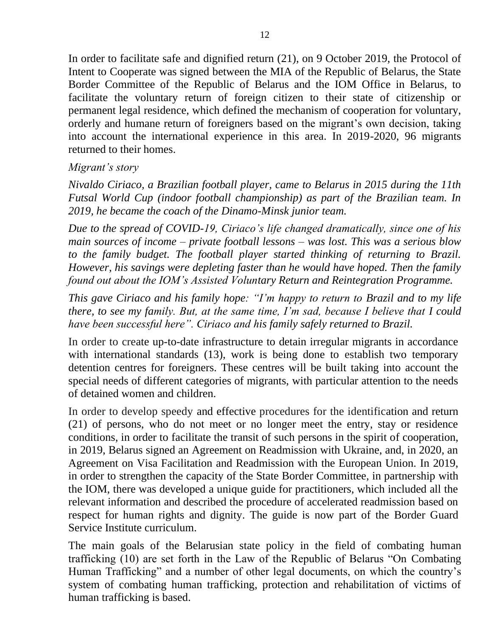In order to facilitate safe and dignified return (21), on 9 October 2019, the Protocol of Intent to Cooperate was signed between the MIA of the Republic of Belarus, the State Border Committee of the Republic of Belarus and the IOM Office in Belarus, to facilitate the voluntary return of foreign citizen to their state of citizenship or permanent legal residence, which defined the mechanism of cooperation for voluntary, orderly and humane return of foreigners based on the migrant's own decision, taking into account the international experience in this area. In 2019-2020, 96 migrants returned to their homes.

#### *Migrant's story*

*Nivaldo Ciriaco, a Brazilian football player, came to Belarus in 2015 during the 11th Futsal World Cup (indoor football championship) as part of the Brazilian team. In 2019, he became the coach of the Dinamo-Minsk junior team.*

*Due to the spread of COVID-19, Ciriaco's life changed dramatically, since one of his main sources of income – private football lessons – was lost. This was a serious blow to the family budget. The football player started thinking of returning to Brazil. However, his savings were depleting faster than he would have hoped. Then the family found out about the IOM's Assisted Voluntary Return and Reintegration Programme.* 

*This gave Ciriaco and his family hope: "I'm happy to return to Brazil and to my life there, to see my family. But, at the same time, I'm sad, because I believe that I could have been successful here". Ciriaco and his family safely returned to Brazil.*

In order to create up-to-date infrastructure to detain irregular migrants in accordance with international standards (13), work is being done to establish two temporary detention centres for foreigners. These centres will be built taking into account the special needs of different categories of migrants, with particular attention to the needs of detained women and children.

In order to develop speedy and effective procedures for the identification and return (21) of persons, who do not meet or no longer meet the entry, stay or residence conditions, in order to facilitate the transit of such persons in the spirit of cooperation, in 2019, Belarus signed an Agreement on Readmission with Ukraine, and, in 2020, an Agreement on Visa Facilitation and Readmission with the European Union. In 2019, in order to strengthen the capacity of the State Border Committee, in partnership with the IOM, there was developed a unique guide for practitioners, which included all the relevant information and described the procedure of accelerated readmission based on respect for human rights and dignity. The guide is now part of the Border Guard Service Institute curriculum.

The main goals of the Belarusian state policy in the field of combating human trafficking (10) are set forth in the Law of the Republic of Belarus "On Combating Human Trafficking" and a number of other legal documents, on which the country's system of combating human trafficking, protection and rehabilitation of victims of human trafficking is based.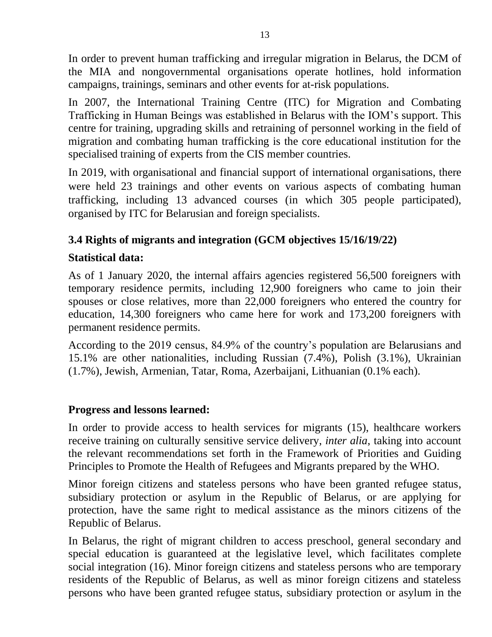In order to prevent human trafficking and irregular migration in Belarus, the DCM of the MIA and nongovernmental organisations operate hotlines, hold information campaigns, trainings, seminars and other events for at-risk populations.

In 2007, the International Training Centre (ITC) for Migration and Combating Trafficking in Human Beings was established in Belarus with the IOM's support. This centre for training, upgrading skills and retraining of personnel working in the field of migration and combating human trafficking is the core educational institution for the specialised training of experts from the CIS member countries.

In 2019, with organisational and financial support of international organisations, there were held 23 trainings and other events on various aspects of combating human trafficking, including 13 advanced courses (in which 305 people participated), organised by ITC for Belarusian and foreign specialists.

# **3.4 Rights of migrants and integration (GCM objectives 15/16/19/22)**

#### **Statistical data:**

As of 1 January 2020, the internal affairs agencies registered 56,500 foreigners with temporary residence permits, including 12,900 foreigners who came to join their spouses or close relatives, more than 22,000 foreigners who entered the country for education, 14,300 foreigners who came here for work and 173,200 foreigners with permanent residence permits.

According to the 2019 census, 84.9% of the country's population are Belarusians and 15.1% are other nationalities, including Russian (7.4%), Polish (3.1%), Ukrainian (1.7%), Jewish, Armenian, Tatar, Roma, Azerbaijani, Lithuanian (0.1% each).

#### **Progress and lessons learned:**

In order to provide access to health services for migrants (15), healthcare workers receive training on culturally sensitive service delivery, *inter alia*, taking into account the relevant recommendations set forth in the Framework of Priorities and Guiding Principles to Promote the Health of Refugees and Migrants prepared by the WHO.

Minor foreign citizens and stateless persons who have been granted refugee status, subsidiary protection or asylum in the Republic of Belarus, or are applying for protection, have the same right to medical assistance as the minors citizens of the Republic of Belarus.

In Belarus, the right of migrant children to access preschool, general secondary and special education is guaranteed at the legislative level, which facilitates complete social integration (16). Minor foreign citizens and stateless persons who are temporary residents of the Republic of Belarus, as well as minor foreign citizens and stateless persons who have been granted refugee status, subsidiary protection or asylum in the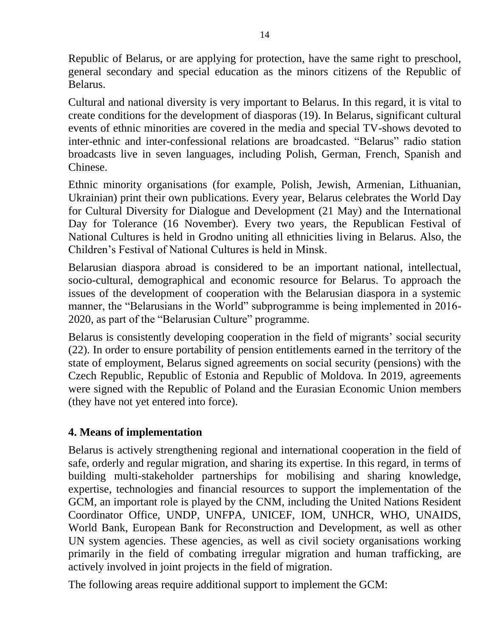Republic of Belarus, or are applying for protection, have the same right to preschool, general secondary and special education as the minors citizens of the Republic of Belarus.

Cultural and national diversity is very important to Belarus. In this regard, it is vital to create conditions for the development of diasporas (19). In Belarus, significant cultural events of ethnic minorities are covered in the media and special TV-shows devoted to inter-ethnic and inter-confessional relations are broadcasted. "Belarus" radio station broadcasts live in seven languages, including Polish, German, French, Spanish and Chinese.

Ethnic minority organisations (for example, Polish, Jewish, Armenian, Lithuanian, Ukrainian) print their own publications. Every year, Belarus celebrates the World Day for Cultural Diversity for Dialogue and Development (21 May) and the International Day for Tolerance (16 November). Every two years, the Republican Festival of National Cultures is held in Grodno uniting all ethnicities living in Belarus. Also, the Children's Festival of National Cultures is held in Minsk.

Belarusian diaspora abroad is considered to be an important national, intellectual, socio-cultural, demographical and economic resource for Belarus. To approach the issues of the development of cooperation with the Belarusian diaspora in a systemic manner, the "Belarusians in the World" subprogramme is being implemented in 2016- 2020, as part of the "Belarusian Culture" programme.

Belarus is consistently developing cooperation in the field of migrants' social security (22). In order to ensure portability of pension entitlements earned in the territory of the state of employment, Belarus signed agreements on social security (pensions) with the Czech Republic, Republic of Estonia and Republic of Moldova. In 2019, agreements were signed with the Republic of Poland and the Eurasian Economic Union members (they have not yet entered into force).

#### **4. Means of implementation**

Belarus is actively strengthening regional and international cooperation in the field of safe, orderly and regular migration, and sharing its expertise. In this regard, in terms of building multi-stakeholder partnerships for mobilising and sharing knowledge, expertise, technologies and financial resources to support the implementation of the GCM, an important role is played by the CNM, including the United Nations Resident Coordinator Office, UNDP, UNFPA, UNICEF, IOM, UNHCR, WHO, UNAIDS, World Bank, European Bank for Reconstruction and Development, as well as other UN system agencies. These agencies, as well as civil society organisations working primarily in the field of combating irregular migration and human trafficking, are actively involved in joint projects in the field of migration.

The following areas require additional support to implement the GCM: